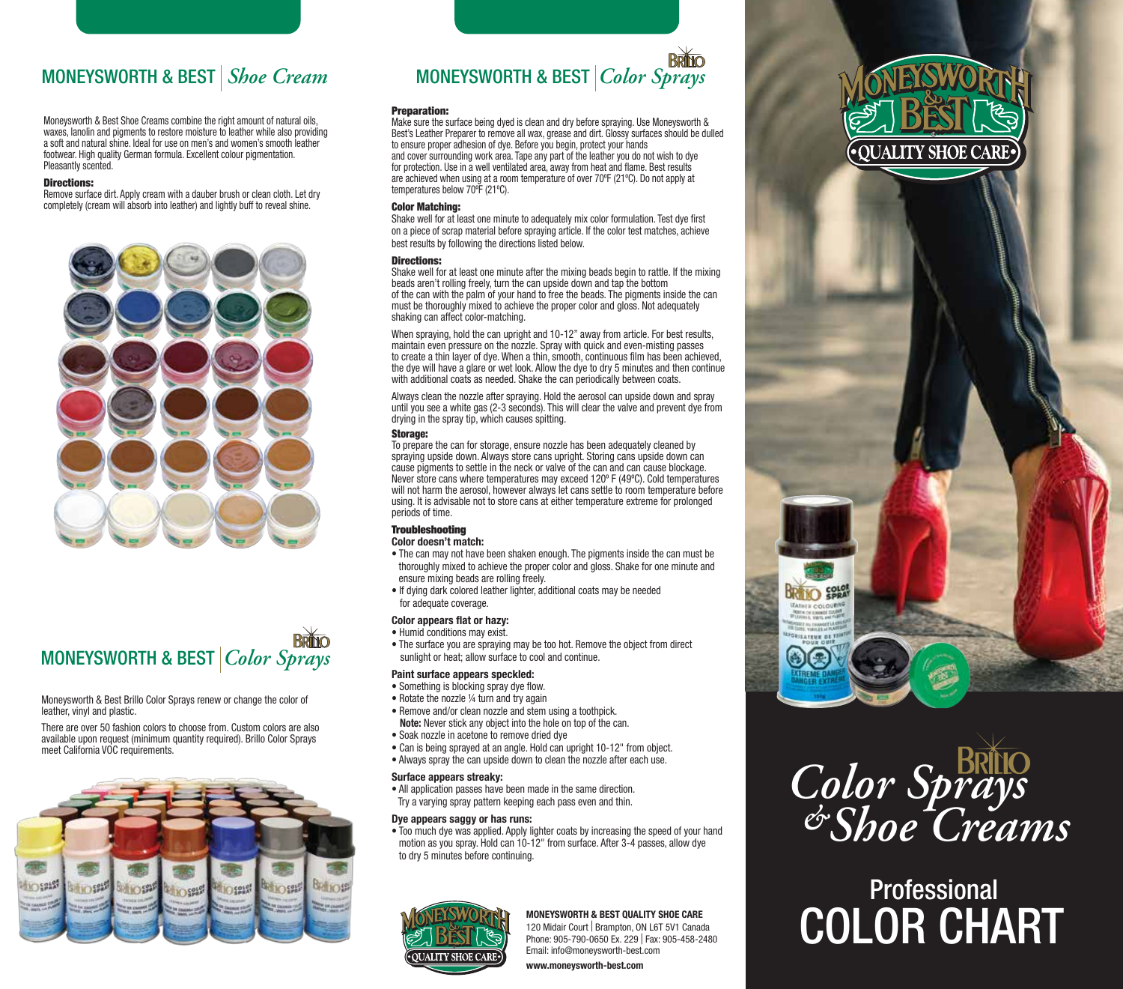Moneysworth & Best Shoe Creams combine the right amount of natural oils, waxes, lanolin and pigments to restore moisture to leather while also providing a soft and natural shine. Ideal for use on men's and women's smooth leather footwear. High quality German formula. Excellent colour pigmentation. Pleasantly scented.

#### Directions:

Remove surface dirt. Apply cream with a dauber brush or clean cloth. Let dry completely (cream will absorb into leather) and lightly buff to reveal shine.





Moneysworth & Best Brillo Color Sprays renew or change the color of leather, vinyl and plastic.

There are over 50 fashion colors to choose from. Custom colors are also available upon request (minimum quantity required). Brillo Color Sprays meet California VOC requirements.



## MONEYSWORTH & BEST *Shoe Cream* MONEYSWORTH & BEST *Color Sprays*

#### Preparation:

Make sure the surface being dyed is clean and dry before spraying. Use Moneysworth & Best's Leather Preparer to remove all wax, grease and dirt. Glossy surfaces should be dulled to ensure proper adhesion of dye. Before you begin, protect your hands and cover surrounding work area. Tape any part of the leather you do not wish to dye for protection. Use in a well ventilated area, away from heat and flame. Best results are achieved when using at a room temperature of over 70ºF (21ºC). Do not apply at temperatures below 70ºF (21ºC).

#### Color Matching:

Shake well for at least one minute to adequately mix color formulation. Test dye first on a piece of scrap material before spraying article. If the color test matches, achieve best results by following the directions listed below.

#### Directions:

Shake well for at least one minute after the mixing beads begin to rattle. If the mixing beads aren't rolling freely, turn the can upside down and tap the bottom of the can with the palm of your hand to free the beads. The pigments inside the can must be thoroughly mixed to achieve the proper color and gloss. Not adequately shaking can affect color-matching.

When spraying, hold the can upright and 10-12" away from article. For best results, maintain even pressure on the nozzle. Spray with quick and even-misting passes to create a thin layer of dye. When a thin, smooth, continuous film has been achieved, the dye will have a glare or wet look. Allow the dye to dry 5 minutes and then continue with additional coats as needed. Shake the can periodically between coats.

Always clean the nozzle after spraying. Hold the aerosol can upside down and spray until you see a white gas (2-3 seconds). This will clear the valve and prevent dye from drying in the spray tip, which causes spitting.

#### Storage:

To prepare the can for storage, ensure nozzle has been adequately cleaned by spraying upside down. Always store cans upright. Storing cans upside down can cause pigments to settle in the neck or valve of the can and can cause blockage. Never store cans where temperatures may exceed 120º F (49ºC). Cold temperatures will not harm the aerosol, however always let cans settle to room temperature before using. It is advisable not to store cans at either temperature extreme for prolonged periods of time.

#### **Troubleshooting**

### **Color doesn't match:**

- The can may not have been shaken enough. The pigments inside the can must be thoroughly mixed to achieve the proper color and gloss. Shake for one minute and ensure mixing beads are rolling freely.
- If dying dark colored leather lighter, additional coats may be needed for adequate coverage.

#### **Color appears flat or hazy:** • Humid conditions may exist.

• The surface you are spraying may be too hot. Remove the object from direct sunlight or heat; allow surface to cool and continue.

#### **Paint surface appears speckled:**

- Something is blocking spray dye flow.
- Rotate the nozzle 1/4 turn and try again
- Remove and/or clean nozzle and stem using a toothpick.
- **Note:** Never stick any object into the hole on top of the can.
- Soak nozzle in acetone to remove dried dye
- Can is being sprayed at an angle. Hold can upright 10-12" from object.
- Always spray the can upside down to clean the nozzle after each use.

#### **Surface appears streaky:**

• All application passes have been made in the same direction. Try a varying spray pattern keeping each pass even and thin.

#### **Dye appears saggy or has runs:**

• Too much dye was applied. Apply lighter coats by increasing the speed of your hand motion as you spray. Hold can 10-12" from surface. After 3-4 passes, allow dye to dry 5 minutes before continuing.



120 Midair Court | Brampton, ON L6T 5V1 Canada Phone: 905-790-0650 Ex. 229 | Fax: 905-458-2480 Email: info@moneysworth-best.com

**www.moneysworth-best.com**





**COLOR** 

# **Professional** MONEYSWORTH & BEST QUALITY SHOE CARE<br>120 Middair Court | Brampton, ON L6T 5V1 Canada<br>Phone: 905-790-0650 Ex. 229 | Fax: 905-458-2480